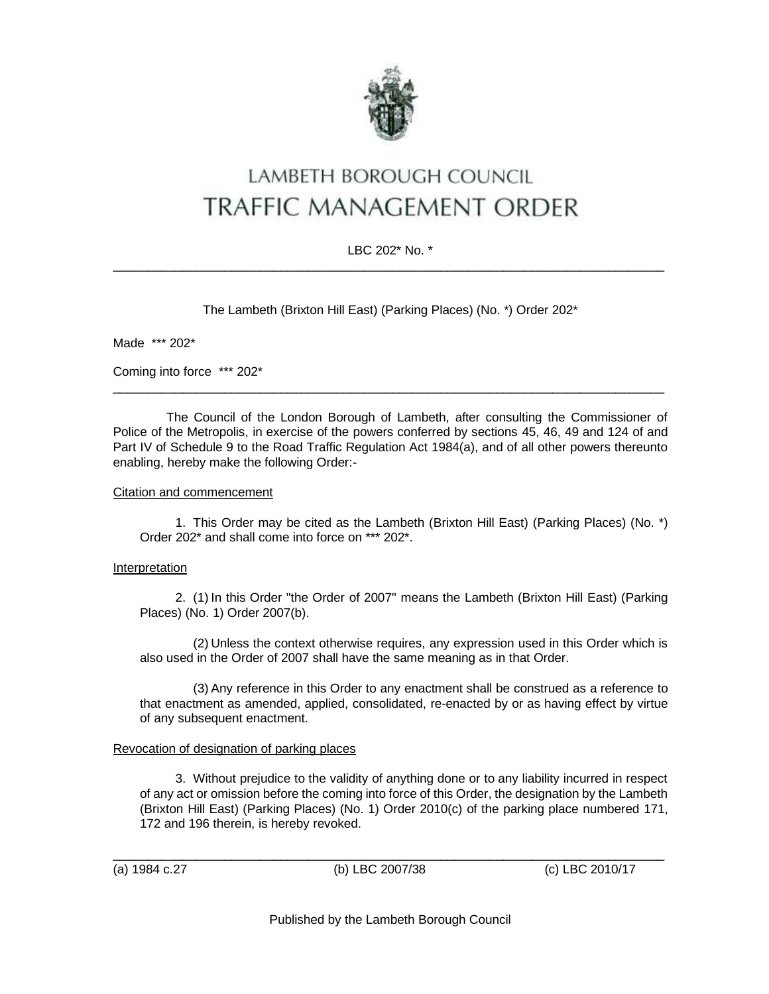

# LAMBETH BOROUGH COUNCIL TRAFFIC MANAGEMENT ORDER

## LBC 202\* No. \*  $\_$  ,  $\_$  ,  $\_$  ,  $\_$  ,  $\_$  ,  $\_$  ,  $\_$  ,  $\_$  ,  $\_$  ,  $\_$  ,  $\_$  ,  $\_$  ,  $\_$  ,  $\_$  ,  $\_$  ,  $\_$  ,  $\_$  ,  $\_$  ,  $\_$  ,  $\_$  ,  $\_$  ,  $\_$  ,  $\_$  ,  $\_$  ,  $\_$  ,  $\_$  ,  $\_$  ,  $\_$  ,  $\_$  ,  $\_$  ,  $\_$  ,  $\_$  ,  $\_$  ,  $\_$  ,  $\_$  ,  $\_$  ,  $\_$  ,

The Lambeth (Brixton Hill East) (Parking Places) (No. \*) Order 202\*

Made \*\*\* 202\*

Coming into force \*\*\* 202\*

The Council of the London Borough of Lambeth, after consulting the Commissioner of Police of the Metropolis, in exercise of the powers conferred by sections 45, 46, 49 and 124 of and Part IV of Schedule 9 to the Road Traffic Regulation Act 1984(a), and of all other powers thereunto enabling, hereby make the following Order:-

\_\_\_\_\_\_\_\_\_\_\_\_\_\_\_\_\_\_\_\_\_\_\_\_\_\_\_\_\_\_\_\_\_\_\_\_\_\_\_\_\_\_\_\_\_\_\_\_\_\_\_\_\_\_\_\_\_\_\_\_\_\_\_\_\_\_\_\_\_\_\_\_\_\_\_\_\_\_\_

## Citation and commencement

1. This Order may be cited as the Lambeth (Brixton Hill East) (Parking Places) (No. \*) Order 202\* and shall come into force on \*\*\* 202\*.

## **Interpretation**

2. (1) In this Order "the Order of 2007" means the Lambeth (Brixton Hill East) (Parking Places) (No. 1) Order 2007(b).

(2) Unless the context otherwise requires, any expression used in this Order which is also used in the Order of 2007 shall have the same meaning as in that Order.

(3) Any reference in this Order to any enactment shall be construed as a reference to that enactment as amended, applied, consolidated, re-enacted by or as having effect by virtue of any subsequent enactment.

## Revocation of designation of parking places

3. Without prejudice to the validity of anything done or to any liability incurred in respect of any act or omission before the coming into force of this Order, the designation by the Lambeth (Brixton Hill East) (Parking Places) (No. 1) Order 2010(c) of the parking place numbered 171, 172 and 196 therein, is hereby revoked.

\_\_\_\_\_\_\_\_\_\_\_\_\_\_\_\_\_\_\_\_\_\_\_\_\_\_\_\_\_\_\_\_\_\_\_\_\_\_\_\_\_\_\_\_\_\_\_\_\_\_\_\_\_\_\_\_\_\_\_\_\_\_\_\_\_\_\_\_\_\_\_\_\_\_\_\_\_\_\_

(a) 1984 c.27 (b) LBC 2007/38 (c) LBC 2010/17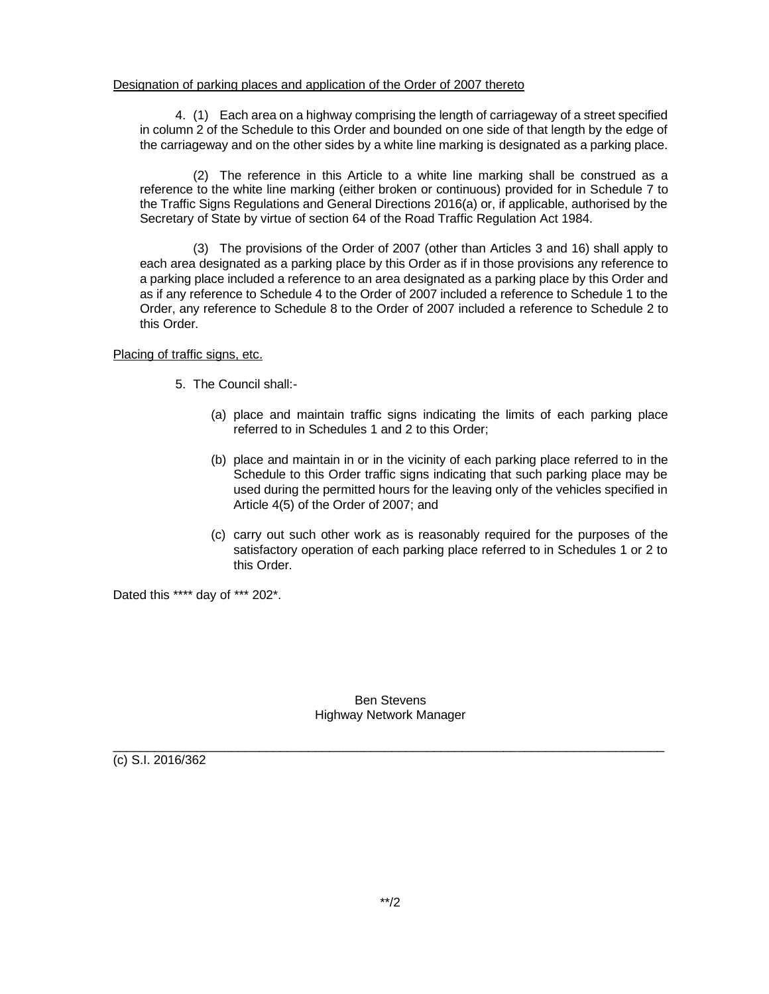#### Designation of parking places and application of the Order of 2007 thereto

4. (1) Each area on a highway comprising the length of carriageway of a street specified in column 2 of the Schedule to this Order and bounded on one side of that length by the edge of the carriageway and on the other sides by a white line marking is designated as a parking place.

(2) The reference in this Article to a white line marking shall be construed as a reference to the white line marking (either broken or continuous) provided for in Schedule 7 to the Traffic Signs Regulations and General Directions 2016(a) or, if applicable, authorised by the Secretary of State by virtue of section 64 of the Road Traffic Regulation Act 1984.

(3) The provisions of the Order of 2007 (other than Articles 3 and 16) shall apply to each area designated as a parking place by this Order as if in those provisions any reference to a parking place included a reference to an area designated as a parking place by this Order and as if any reference to Schedule 4 to the Order of 2007 included a reference to Schedule 1 to the Order, any reference to Schedule 8 to the Order of 2007 included a reference to Schedule 2 to this Order.

## Placing of traffic signs, etc.

- 5. The Council shall:-
	- (a) place and maintain traffic signs indicating the limits of each parking place referred to in Schedules 1 and 2 to this Order;
	- (b) place and maintain in or in the vicinity of each parking place referred to in the Schedule to this Order traffic signs indicating that such parking place may be used during the permitted hours for the leaving only of the vehicles specified in Article 4(5) of the Order of 2007; and
	- (c) carry out such other work as is reasonably required for the purposes of the satisfactory operation of each parking place referred to in Schedules 1 or 2 to this Order.

Dated this \*\*\*\* day of \*\*\* 202\*.

Ben Stevens Highway Network Manager

\_\_\_\_\_\_\_\_\_\_\_\_\_\_\_\_\_\_\_\_\_\_\_\_\_\_\_\_\_\_\_\_\_\_\_\_\_\_\_\_\_\_\_\_\_\_\_\_\_\_\_\_\_\_\_\_\_\_\_\_\_\_\_\_\_\_\_\_\_\_\_\_\_\_\_\_\_\_\_

(c) S.I. 2016/362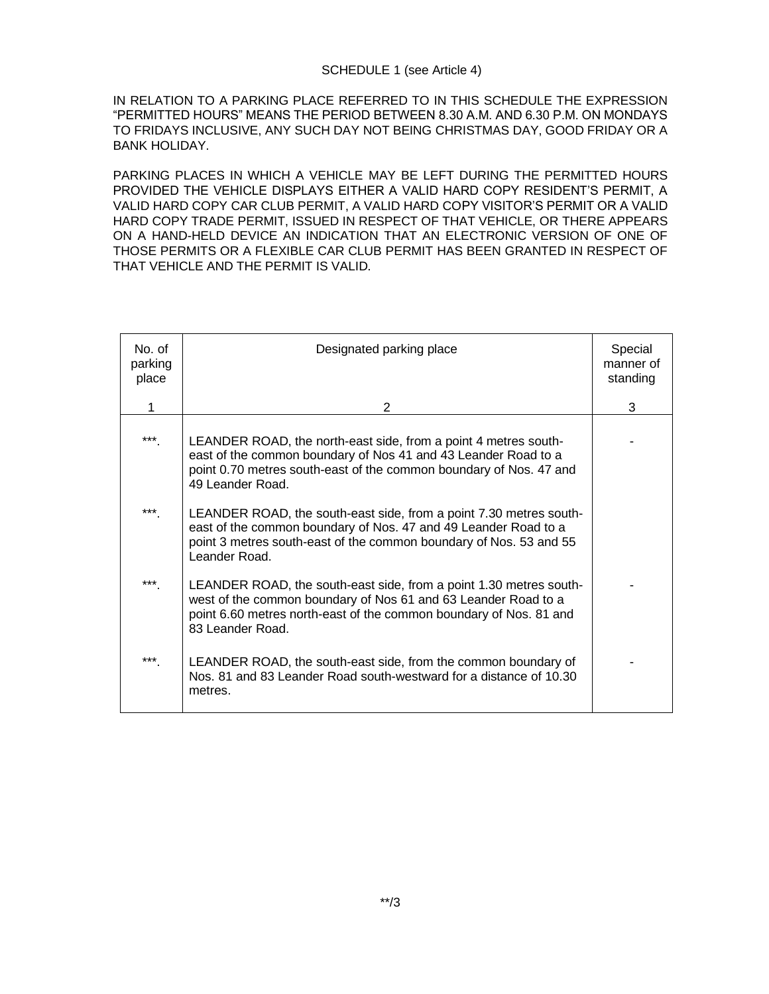IN RELATION TO A PARKING PLACE REFERRED TO IN THIS SCHEDULE THE EXPRESSION "PERMITTED HOURS" MEANS THE PERIOD BETWEEN 8.30 A.M. AND 6.30 P.M. ON MONDAYS TO FRIDAYS INCLUSIVE, ANY SUCH DAY NOT BEING CHRISTMAS DAY, GOOD FRIDAY OR A BANK HOLIDAY.

PARKING PLACES IN WHICH A VEHICLE MAY BE LEFT DURING THE PERMITTED HOURS PROVIDED THE VEHICLE DISPLAYS EITHER A VALID HARD COPY RESIDENT'S PERMIT, A VALID HARD COPY CAR CLUB PERMIT, A VALID HARD COPY VISITOR'S PERMIT OR A VALID HARD COPY TRADE PERMIT, ISSUED IN RESPECT OF THAT VEHICLE, OR THERE APPEARS ON A HAND-HELD DEVICE AN INDICATION THAT AN ELECTRONIC VERSION OF ONE OF THOSE PERMITS OR A FLEXIBLE CAR CLUB PERMIT HAS BEEN GRANTED IN RESPECT OF THAT VEHICLE AND THE PERMIT IS VALID.

| No. of<br>parking<br>place | Designated parking place                                                                                                                                                                                                       | Special<br>manner of<br>standing |
|----------------------------|--------------------------------------------------------------------------------------------------------------------------------------------------------------------------------------------------------------------------------|----------------------------------|
| 1                          | 2                                                                                                                                                                                                                              | 3                                |
| ***                        | LEANDER ROAD, the north-east side, from a point 4 metres south-<br>east of the common boundary of Nos 41 and 43 Leander Road to a<br>point 0.70 metres south-east of the common boundary of Nos. 47 and<br>49 Leander Road.    |                                  |
| ***                        | LEANDER ROAD, the south-east side, from a point 7.30 metres south-<br>east of the common boundary of Nos. 47 and 49 Leander Road to a<br>point 3 metres south-east of the common boundary of Nos. 53 and 55<br>Leander Road.   |                                  |
| ***                        | LEANDER ROAD, the south-east side, from a point 1.30 metres south-<br>west of the common boundary of Nos 61 and 63 Leander Road to a<br>point 6.60 metres north-east of the common boundary of Nos. 81 and<br>83 Leander Road. |                                  |
| $***$                      | LEANDER ROAD, the south-east side, from the common boundary of<br>Nos. 81 and 83 Leander Road south-westward for a distance of 10.30<br>metres.                                                                                |                                  |